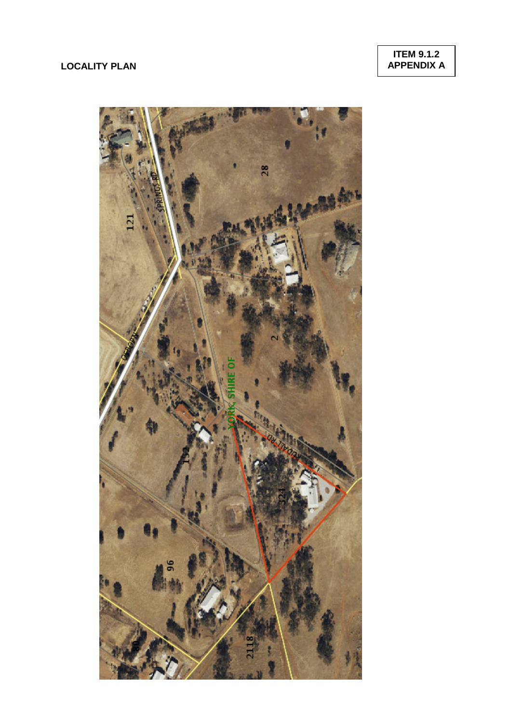## **LOCALITY PLAN**

**ITEM 9.1.2 APPENDIX A**

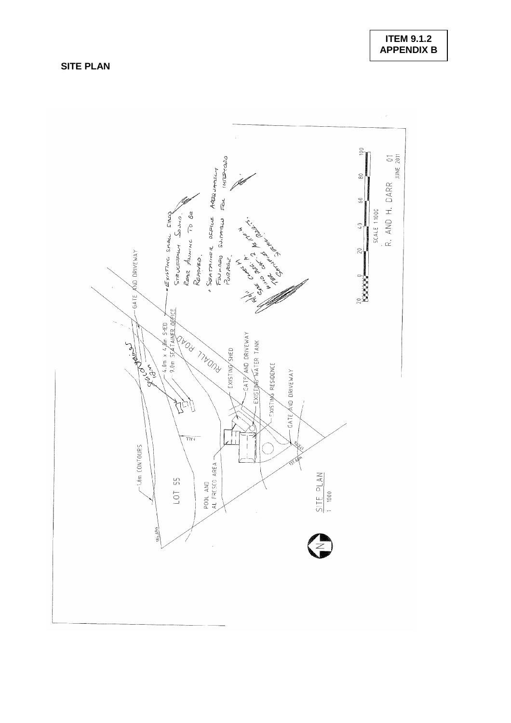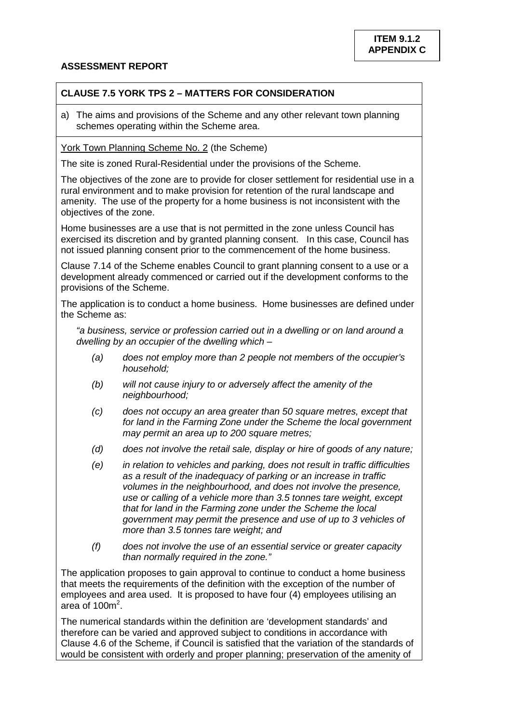## **ASSESSMENT REPORT**

## **CLAUSE 7.5 YORK TPS 2 – MATTERS FOR CONSIDERATION**

a) The aims and provisions of the Scheme and any other relevant town planning schemes operating within the Scheme area.

York Town Planning Scheme No. 2 (the Scheme)

The site is zoned Rural-Residential under the provisions of the Scheme.

The objectives of the zone are to provide for closer settlement for residential use in a rural environment and to make provision for retention of the rural landscape and amenity. The use of the property for a home business is not inconsistent with the objectives of the zone.

Home businesses are a use that is not permitted in the zone unless Council has exercised its discretion and by granted planning consent. In this case, Council has not issued planning consent prior to the commencement of the home business.

Clause 7.14 of the Scheme enables Council to grant planning consent to a use or a development already commenced or carried out if the development conforms to the provisions of the Scheme.

The application is to conduct a home business. Home businesses are defined under the Scheme as:

*"a business, service or profession carried out in a dwelling or on land around a dwelling by an occupier of the dwelling which –*

- *(a) does not employ more than 2 people not members of the occupier's household;*
- *(b) will not cause injury to or adversely affect the amenity of the neighbourhood;*
- *(c) does not occupy an area greater than 50 square metres, except that for land in the Farming Zone under the Scheme the local government may permit an area up to 200 square metres;*
- *(d) does not involve the retail sale, display or hire of goods of any nature;*
- *(e) in relation to vehicles and parking, does not result in traffic difficulties as a result of the inadequacy of parking or an increase in traffic volumes in the neighbourhood, and does not involve the presence, use or calling of a vehicle more than 3.5 tonnes tare weight, except that for land in the Farming zone under the Scheme the local government may permit the presence and use of up to 3 vehicles of more than 3.5 tonnes tare weight; and*
- *(f) does not involve the use of an essential service or greater capacity than normally required in the zone."*

The application proposes to gain approval to continue to conduct a home business that meets the requirements of the definition with the exception of the number of employees and area used. It is proposed to have four (4) employees utilising an area of  $100m^2$ .

The numerical standards within the definition are 'development standards' and therefore can be varied and approved subject to conditions in accordance with Clause 4.6 of the Scheme, if Council is satisfied that the variation of the standards of would be consistent with orderly and proper planning; preservation of the amenity of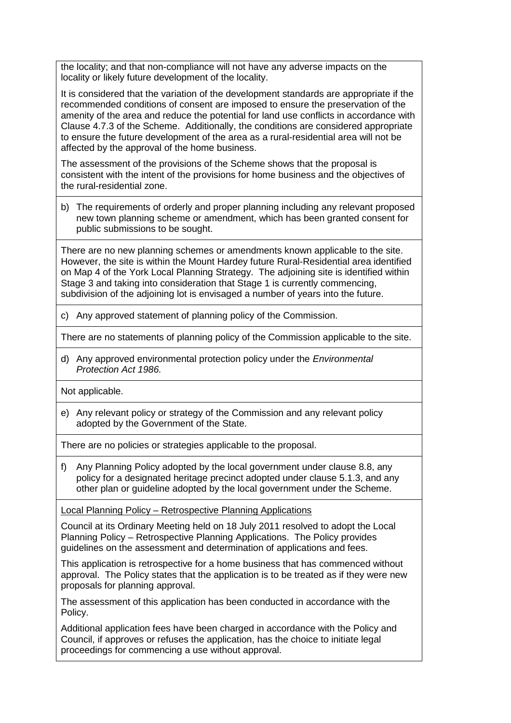the locality; and that non-compliance will not have any adverse impacts on the locality or likely future development of the locality.

It is considered that the variation of the development standards are appropriate if the recommended conditions of consent are imposed to ensure the preservation of the amenity of the area and reduce the potential for land use conflicts in accordance with Clause 4.7.3 of the Scheme. Additionally, the conditions are considered appropriate to ensure the future development of the area as a rural-residential area will not be affected by the approval of the home business.

The assessment of the provisions of the Scheme shows that the proposal is consistent with the intent of the provisions for home business and the objectives of the rural-residential zone.

b) The requirements of orderly and proper planning including any relevant proposed new town planning scheme or amendment, which has been granted consent for public submissions to be sought.

There are no new planning schemes or amendments known applicable to the site. However, the site is within the Mount Hardey future Rural-Residential area identified on Map 4 of the York Local Planning Strategy. The adjoining site is identified within Stage 3 and taking into consideration that Stage 1 is currently commencing, subdivision of the adjoining lot is envisaged a number of years into the future.

c) Any approved statement of planning policy of the Commission.

There are no statements of planning policy of the Commission applicable to the site.

d) Any approved environmental protection policy under the *Environmental Protection Act 1986.*

Not applicable.

e) Any relevant policy or strategy of the Commission and any relevant policy adopted by the Government of the State.

There are no policies or strategies applicable to the proposal.

f) Any Planning Policy adopted by the local government under clause 8.8, any policy for a designated heritage precinct adopted under clause 5.1.3, and any other plan or guideline adopted by the local government under the Scheme.

Local Planning Policy – Retrospective Planning Applications

Council at its Ordinary Meeting held on 18 July 2011 resolved to adopt the Local Planning Policy – Retrospective Planning Applications. The Policy provides guidelines on the assessment and determination of applications and fees.

This application is retrospective for a home business that has commenced without approval. The Policy states that the application is to be treated as if they were new proposals for planning approval.

The assessment of this application has been conducted in accordance with the Policy.

Additional application fees have been charged in accordance with the Policy and Council, if approves or refuses the application, has the choice to initiate legal proceedings for commencing a use without approval.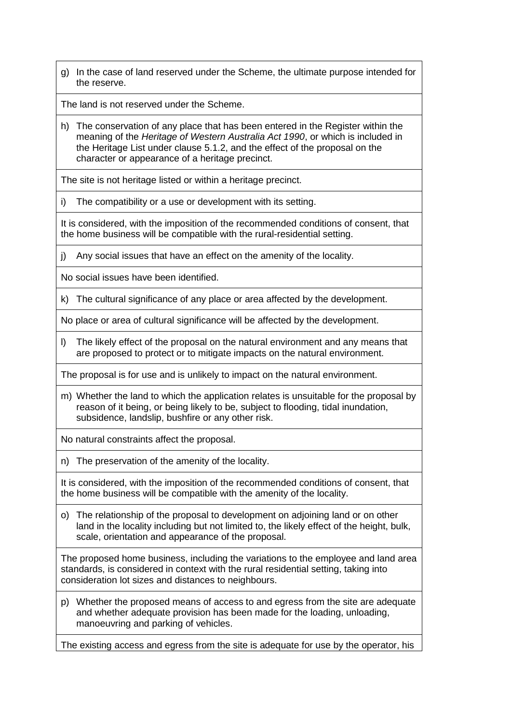g) In the case of land reserved under the Scheme, the ultimate purpose intended for the reserve.

The land is not reserved under the Scheme.

h) The conservation of any place that has been entered in the Register within the meaning of the *Heritage of Western Australia Act 1990*, or which is included in the Heritage List under clause 5.1.2, and the effect of the proposal on the character or appearance of a heritage precinct.

The site is not heritage listed or within a heritage precinct.

i) The compatibility or a use or development with its setting.

It is considered, with the imposition of the recommended conditions of consent, that the home business will be compatible with the rural-residential setting.

j) Any social issues that have an effect on the amenity of the locality.

No social issues have been identified.

k) The cultural significance of any place or area affected by the development.

No place or area of cultural significance will be affected by the development.

l) The likely effect of the proposal on the natural environment and any means that are proposed to protect or to mitigate impacts on the natural environment.

The proposal is for use and is unlikely to impact on the natural environment.

m) Whether the land to which the application relates is unsuitable for the proposal by reason of it being, or being likely to be, subject to flooding, tidal inundation, subsidence, landslip, bushfire or any other risk.

No natural constraints affect the proposal.

n) The preservation of the amenity of the locality.

It is considered, with the imposition of the recommended conditions of consent, that the home business will be compatible with the amenity of the locality.

o) The relationship of the proposal to development on adjoining land or on other land in the locality including but not limited to, the likely effect of the height, bulk, scale, orientation and appearance of the proposal.

The proposed home business, including the variations to the employee and land area standards, is considered in context with the rural residential setting, taking into consideration lot sizes and distances to neighbours.

p) Whether the proposed means of access to and egress from the site are adequate and whether adequate provision has been made for the loading, unloading, manoeuvring and parking of vehicles.

The existing access and egress from the site is adequate for use by the operator, his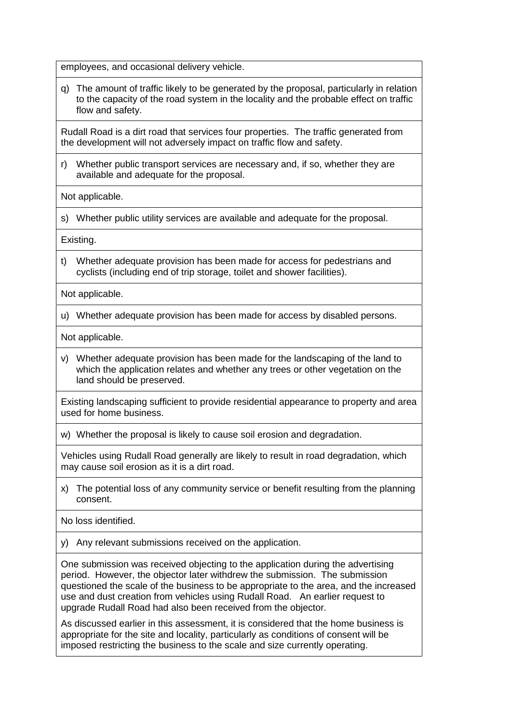employees, and occasional delivery vehicle.

q) The amount of traffic likely to be generated by the proposal, particularly in relation to the capacity of the road system in the locality and the probable effect on traffic flow and safety.

Rudall Road is a dirt road that services four properties. The traffic generated from the development will not adversely impact on traffic flow and safety.

r) Whether public transport services are necessary and, if so, whether they are available and adequate for the proposal.

Not applicable.

s) Whether public utility services are available and adequate for the proposal.

Existing.

t) Whether adequate provision has been made for access for pedestrians and cyclists (including end of trip storage, toilet and shower facilities).

Not applicable.

u) Whether adequate provision has been made for access by disabled persons.

Not applicable.

v) Whether adequate provision has been made for the landscaping of the land to which the application relates and whether any trees or other vegetation on the land should be preserved.

Existing landscaping sufficient to provide residential appearance to property and area used for home business.

w) Whether the proposal is likely to cause soil erosion and degradation.

Vehicles using Rudall Road generally are likely to result in road degradation, which may cause soil erosion as it is a dirt road.

x) The potential loss of any community service or benefit resulting from the planning consent.

No loss identified.

y) Any relevant submissions received on the application.

One submission was received objecting to the application during the advertising period. However, the objector later withdrew the submission. The submission questioned the scale of the business to be appropriate to the area, and the increased use and dust creation from vehicles using Rudall Road. An earlier request to upgrade Rudall Road had also been received from the objector.

As discussed earlier in this assessment, it is considered that the home business is appropriate for the site and locality, particularly as conditions of consent will be imposed restricting the business to the scale and size currently operating.